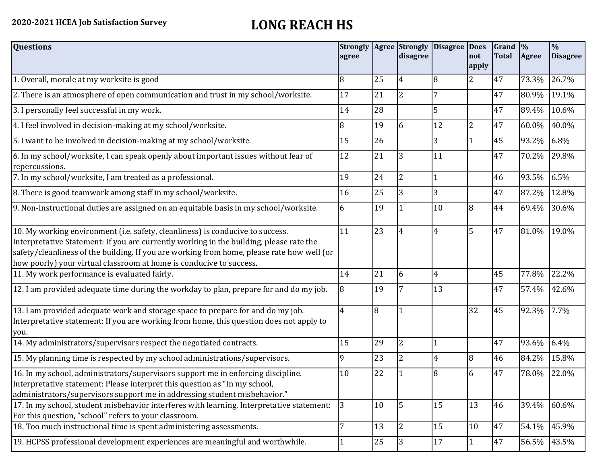## **2020-2021 HCEA Job Satisfaction Survey LONG REACH HS**

| <b>Questions</b>                                                                                                                                                                                                                                                                                                                               | <b>Strongly</b><br>agree |    | disagree       | Agree Strongly Disagree Does | not<br>apply   | $Grand \sqrt{2}$<br><b>Total</b> | Agree       | $\frac{0}{6}$<br><b>Disagree</b> |
|------------------------------------------------------------------------------------------------------------------------------------------------------------------------------------------------------------------------------------------------------------------------------------------------------------------------------------------------|--------------------------|----|----------------|------------------------------|----------------|----------------------------------|-------------|----------------------------------|
| 1. Overall, morale at my worksite is good                                                                                                                                                                                                                                                                                                      | 8                        | 25 | $\overline{4}$ | 8                            | $\overline{2}$ | 47                               | 73.3%       | 26.7%                            |
| 2. There is an atmosphere of open communication and trust in my school/worksite.                                                                                                                                                                                                                                                               | 17                       | 21 | $\overline{2}$ | 7                            |                | 47                               | 80.9%       | 19.1%                            |
| 3. I personally feel successful in my work.                                                                                                                                                                                                                                                                                                    | 14                       | 28 |                | 5                            |                | 47                               | 89.4%       | 10.6%                            |
| 4. I feel involved in decision-making at my school/worksite.                                                                                                                                                                                                                                                                                   | 8                        | 19 | 6              | 12                           | $\overline{2}$ | 47                               | 60.0%       | 40.0%                            |
| 5. I want to be involved in decision-making at my school/worksite.                                                                                                                                                                                                                                                                             | 15                       | 26 |                | $\overline{3}$               | 1              | 45                               | 93.2%       | 6.8%                             |
| 6. In my school/worksite, I can speak openly about important issues without fear of<br>repercussions.                                                                                                                                                                                                                                          | 12                       | 21 | 3              | 11                           |                | 47                               | 70.2%       | 29.8%                            |
| 7. In my school/worksite, I am treated as a professional.                                                                                                                                                                                                                                                                                      | 19                       | 24 | $\overline{2}$ | $\mathbf{1}$                 |                | 46                               | 93.5%       | 6.5%                             |
| 8. There is good teamwork among staff in my school/worksite.                                                                                                                                                                                                                                                                                   | 16                       | 25 | 3              | 3                            |                | 47                               | 87.2%       | 12.8%                            |
| 9. Non-instructional duties are assigned on an equitable basis in my school/worksite.                                                                                                                                                                                                                                                          | 6                        | 19 |                | 10                           | $\overline{8}$ | 44                               | 69.4%       | 30.6%                            |
| 10. My working environment (i.e. safety, cleanliness) is conducive to success.<br>Interpretative Statement: If you are currently working in the building, please rate the<br>safety/cleanliness of the building. If you are working from home, please rate how well (or<br>how poorly) your virtual classroom at home is conducive to success. | 11                       | 23 | $\overline{4}$ | $\overline{4}$               | 5              | 47                               | 81.0%       | 19.0%                            |
| 11. My work performance is evaluated fairly.                                                                                                                                                                                                                                                                                                   | 14                       | 21 | 6              | $\overline{4}$               |                | 45                               | 77.8%       | 22.2%                            |
| 12. I am provided adequate time during the workday to plan, prepare for and do my job.                                                                                                                                                                                                                                                         | 8                        | 19 |                | 13                           |                | 47                               | 57.4%       | 42.6%                            |
| 13. I am provided adequate work and storage space to prepare for and do my job.<br>Interpretative statement: If you are working from home, this question does not apply to<br>you.                                                                                                                                                             | 4                        | 8  |                |                              | 32             | 45                               | 92.3%       | 7.7%                             |
| 14. My administrators/supervisors respect the negotiated contracts.                                                                                                                                                                                                                                                                            | 15                       | 29 | $\overline{2}$ | $\mathbf{1}$                 |                | 47                               | 93.6%       | 6.4%                             |
| 15. My planning time is respected by my school administrations/supervisors.                                                                                                                                                                                                                                                                    | 9                        | 23 | 2              | $\overline{4}$               | 8              | 46                               | 84.2%       | 15.8%                            |
| 16. In my school, administrators/supervisors support me in enforcing discipline.<br>Interpretative statement: Please interpret this question as "In my school,<br>administrators/supervisors support me in addressing student misbehavior."                                                                                                    | 10                       | 22 |                | 8                            | 6              | 47                               | 78.0%       | 22.0%                            |
| 17. In my school, student misbehavior interferes with learning. Interpretative statement:<br>For this question, "school" refers to your classroom.                                                                                                                                                                                             | 3                        | 10 | 5              | 15                           | 13             | 46                               | 39.4%       | 60.6%                            |
| 18. Too much instructional time is spent administering assessments.                                                                                                                                                                                                                                                                            | 7                        | 13 | $\overline{2}$ | 15                           | 10             | 47                               | 54.1% 45.9% |                                  |
| 19. HCPSS professional development experiences are meaningful and worthwhile.                                                                                                                                                                                                                                                                  |                          | 25 | 3              | 17                           | $\mathbf{1}$   | 47                               | 56.5%       | 43.5%                            |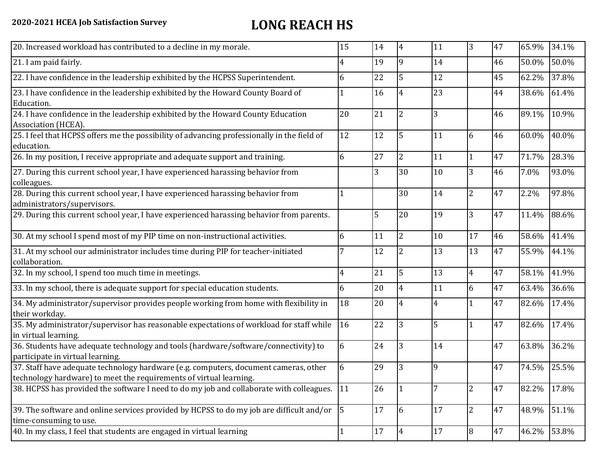| 20. Increased workload has contributed to a decline in my morale.                                                                                          | 15                   | 14     | $\overline{4}$ | 11             | $\overline{3}$ | 47 | 65.9% | 34.1% |
|------------------------------------------------------------------------------------------------------------------------------------------------------------|----------------------|--------|----------------|----------------|----------------|----|-------|-------|
| 21. I am paid fairly.                                                                                                                                      | 4                    | 19     | 9              | 14             |                | 46 | 50.0% | 50.0% |
| 22. I have confidence in the leadership exhibited by the HCPSS Superintendent.                                                                             | 6                    | 22     | 5              | 12             |                | 45 | 62.2% | 37.8% |
| 23. I have confidence in the leadership exhibited by the Howard County Board of<br>Education.                                                              |                      | 16     | 4              | 23             |                | 44 | 38.6% | 61.4% |
| 24. I have confidence in the leadership exhibited by the Howard County Education<br>Association (HCEA).                                                    | 20                   | 21     | 2              | 3              |                | 46 | 89.1% | 10.9% |
| 25. I feel that HCPSS offers me the possibility of advancing professionally in the field of<br>education.                                                  | 12                   | 12     | 5              | 11             | 6              | 46 | 60.0% | 40.0% |
| 26. In my position, I receive appropriate and adequate support and training.                                                                               | 6                    | 27     | $\overline{2}$ | 11             | $\mathbf{1}$   | 47 | 71.7% | 28.3% |
| 27. During this current school year, I have experienced harassing behavior from<br>colleagues.                                                             |                      | 3      | 30             | 10             | 3              | 46 | 7.0%  | 93.0% |
| 28. During this current school year, I have experienced harassing behavior from<br>administrators/supervisors.                                             |                      |        | 30             | 14             | $\overline{2}$ | 47 | 2.2%  | 97.8% |
| 29. During this current school year, I have experienced harassing behavior from parents.                                                                   |                      | 5      | 20             | 19             | 3              | 47 | 11.4% | 88.6% |
| 30. At my school I spend most of my PIP time on non-instructional activities.                                                                              | 6                    | 11     | $\overline{2}$ | 10             | 17             | 46 | 58.6% | 41.4% |
| 31. At my school our administrator includes time during PIP for teacher-initiated<br>collaboration.                                                        |                      | 12     | 2              | 13             | 13             | 47 | 55.9% | 44.1% |
| 32. In my school, I spend too much time in meetings.                                                                                                       | 4                    | 21     | 5              | 13             | $\overline{4}$ | 47 | 58.1% | 41.9% |
| 33. In my school, there is adequate support for special education students.                                                                                | 6                    | 20     | $\overline{4}$ | 11             | 6              | 47 | 63.4% | 36.6% |
| 34. My administrator/supervisor provides people working from home with flexibility in<br>their workday.                                                    | 18                   | 20     | $\overline{4}$ | $\overline{4}$ | $\mathbf{1}$   | 47 | 82.6% | 17.4% |
| 35. My administrator/supervisor has reasonable expectations of workload for staff while<br>in virtual learning.                                            | 16                   | 22     | 3              | 5              | $\mathbf{1}$   | 47 | 82.6% | 17.4% |
| 36. Students have adequate technology and tools (hardware/software/connectivity) to<br>participate in virtual learning.                                    | 6                    | 24     | 3              | 14             |                | 47 | 63.8% | 36.2% |
| 37. Staff have adequate technology hardware (e.g. computers, document cameras, other<br>technology hardware) to meet the requirements of virtual learning. | 6                    | 29     | 3              | 9              |                | 47 | 74.5% | 25.5% |
| 38. HCPSS has provided the software I need to do my job and collaborate with colleagues.                                                                   | 11                   | 26     |                | $\overline{7}$ | $\overline{2}$ | 47 | 82.2% | 17.8% |
| 39. The software and online services provided by HCPSS to do my job are difficult and/or<br>time-consuming to use.                                         | $\vert$ <sub>5</sub> | 17     | 6              | 17             | $\overline{2}$ | 47 | 48.9% | 51.1% |
| 40. In my class, I feel that students are engaged in virtual learning                                                                                      | 1                    | $17\,$ | $\overline{4}$ | 17             | 8              | 47 | 46.2% | 53.8% |